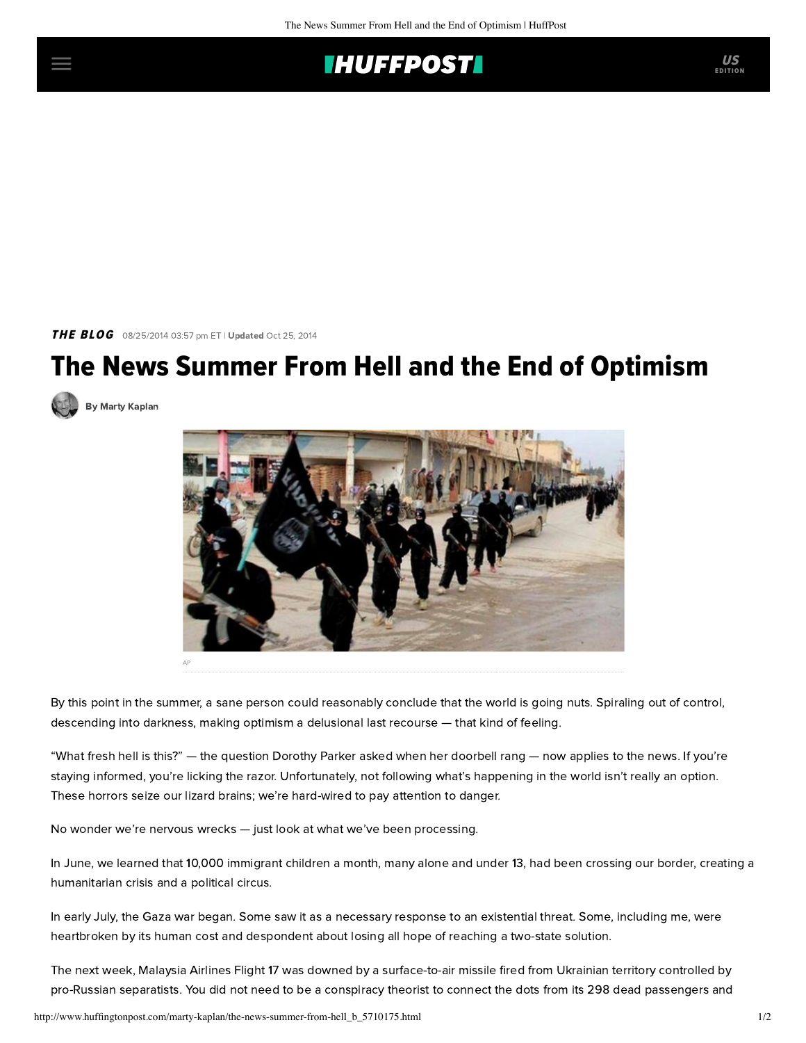## **THUFFPOST**

THE BLOG 08/25/2014 03:57 pm ET | Updated Oct 25, 2014

## The News Summer From Hell and the End of Optimism





By this point in the summer, a sane person could reasonably conclude that the world is going nuts. Spiraling out of control, descending into darkness, making optimism a delusional last recourse — that kind of feeling.

"What fresh hell is this?" — the question Dorothy Parker asked when her doorbell rang — now applies to the news. If you're staying informed, you're licking the razor. Unfortunately, not following what's happening in the world isn't really an option. These horrors seize our lizard brains; we're hard-wired to pay attention to danger.

No wonder we're nervous wrecks — just look at what we've been processing.

In June, we learned that 10,000 immigrant children a month, many alone and under 13, had been crossing our border, creating a humanitarian crisis and a political circus.

In early July, the Gaza war began. Some saw it as a necessary response to an existential threat. Some, including me, were heartbroken by its human cost and despondent about losing all hope of reaching a two-state solution.

The next week, Malaysia Airlines Flight 17 was downed by a surface-to-air missile fired from Ukrainian territory controlled by pro-Russian separatists. You did not need to be a conspiracy theorist to connect the dots from its 298 dead passengers and

EDITION